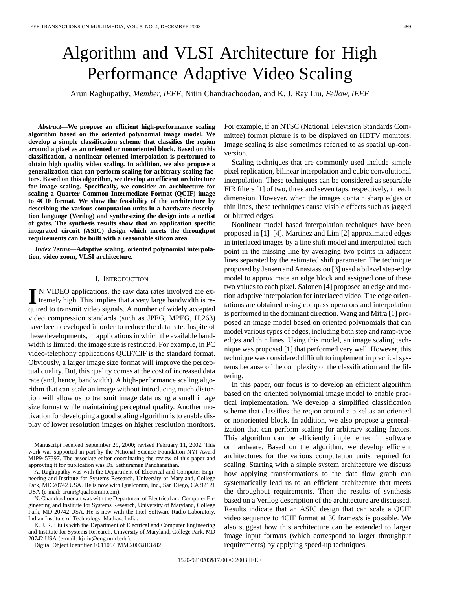# Algorithm and VLSI Architecture for High Performance Adaptive Video Scaling

Arun Raghupathy*, Member, IEEE*, Nitin Chandrachoodan, and K. J. Ray Liu*, Fellow, IEEE*

*Abstract—***We propose an efficient high-performance scaling algorithm based on the oriented polynomial image model. We develop a simple classification scheme that classifies the region around a pixel as an oriented or nonoriented block. Based on this classification, a nonlinear oriented interpolation is performed to obtain high quality video scaling. In addition, we also propose a generalization that can perform scaling for arbitrary scaling factors. Based on this algorithm, we develop an efficient architecture for image scaling. Specifically, we consider an architecture for scaling a Quarter Common Intermediate Format (QCIF) image to 4CIF format. We show the feasibility of the architecture by describing the various computation units in a hardware description language (Verilog) and synthesizing the design into a netlist of gates. The synthesis results show that an application specific integrated circuit (ASIC) design which meets the throughput requirements can be built with a reasonable silicon area.**

*Index Terms—***Adaptive scaling, oriented polynomial interpolation, video zoom, VLSI architecture.**

## I. INTRODUCTION

II N VIDEO applications, the raw data rates involved are ex-<br>tremely high. This implies that a very large bandwidth is required to transmit video signals. A number of widely accepted video compression standards (such as JPEG, MPEG, H.263) have been developed in order to reduce the data rate. Inspite of these developments, in applications in which the available bandwidth is limited, the image size is restricted. For example, in PC video-telephony applications QCIF/CIF is the standard format. Obviously, a larger image size format will improve the perceptual quality. But, this quality comes at the cost of increased data rate (and, hence, bandwidth). A high-performance scaling algorithm that can scale an image without introducing much distortion will allow us to transmit image data using a small image size format while maintaining perceptual quality. Another motivation for developing a good scaling algorithm is to enable display of lower resolution images on higher resolution monitors.

Manuscript received September 29, 2000; revised February 11, 2002. This work was supported in part by the National Science Foundation NYI Award MIP9457397. The associate editor coordinating the review of this paper and approving it for publication was Dr. Sethuraman Panchanathan.

A. Raghupathy was with the Department of Electrical and Computer Engineering and Institute for Systems Research, University of Maryland, College Park, MD 20742 USA. He is now with Qualcomm, Inc., San Diego, CA 92121 USA (e-mail: arunr@qualcomm.com).

N. Chandrachoodan was with the Department of Electrical and Computer Engineering and Institute for Systems Research, University of Maryland, College Park, MD 20742 USA. He is now with the Intel Software Radio Laboratory, Indian Institute of Technology, Madras, India.

K. J. R. Liu is with the Department of Electrical and Computer Engineering and Institute for Systems Research, University of Maryland, College Park, MD 20742 USA (e-mail: kjrliu@eng.umd.edu).

Digital Object Identifier 10.1109/TMM.2003.813282

For example, if an NTSC (National Television Standards Committee) format picture is to be displayed on HDTV monitors. Image scaling is also sometimes referred to as spatial up-conversion.

Scaling techniques that are commonly used include simple pixel replication, bilinear interpolation and cubic convolutional interpolation. These techniques can be considered as separable FIR filters [1] of two, three and seven taps, respectively, in each dimension. However, when the images contain sharp edges or thin lines, these techniques cause visible effects such as jagged or blurred edges.

Nonlinear model based interpolation techniques have been proposed in [1]–[4]. Martinez and Lim [2] approximated edges in interlaced images by a line shift model and interpolated each point in the missing line by averaging two points in adjacent lines separated by the estimated shift parameter. The technique proposed by Jensen and Anastassiou [3] used a bilevel step-edge model to approximate an edge block and assigned one of these two values to each pixel. Salonen [4] proposed an edge and motion adaptive interpolation for interlaced video. The edge orientations are obtained using compass operators and interpolation is performed in the dominant direction. Wang and Mitra [1] proposed an image model based on oriented polynomials that can model various types of edges, including both step and ramp-type edges and thin lines. Using this model, an image scaling technique was proposed [1] that performed very well. However, this technique was considered difficult to implement in practical systems because of the complexity of the classification and the filtering.

In this paper, our focus is to develop an efficient algorithm based on the oriented polynomial image model to enable practical implementation. We develop a simplified classification scheme that classifies the region around a pixel as an oriented or nonoriented block. In addition, we also propose a generalization that can perform scaling for arbitrary scaling factors. This algorithm can be efficiently implemented in software or hardware. Based on the algorithm, we develop efficient architectures for the various computation units required for scaling. Starting with a simple system architecture we discuss how applying transformations to the data flow graph can systematically lead us to an efficient architecture that meets the throughput requirements. Then the results of synthesis based on a Verilog description of the architecture are discussed. Results indicate that an ASIC design that can scale a QCIF video sequence to 4CIF format at 30 frames/s is possible. We also suggest how this architecture can be extended to larger image input formats (which correspond to larger throughput requirements) by applying speed-up techniques.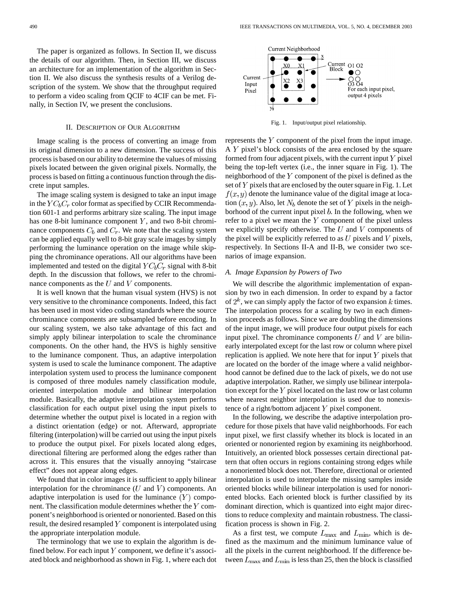The paper is organized as follows. In Section II, we discuss the details of our algorithm. Then, in Section III, we discuss an architecture for an implementation of the algorithm in Section II. We also discuss the synthesis results of a Verilog description of the system. We show that the throughput required to perform a video scaling from QCIF to 4CIF can be met. Finally, in Section IV, we present the conclusions.

## II. DESCRIPTION OF OUR ALGORITHM

Image scaling is the process of converting an image from its original dimension to a new dimension. The success of this process is based on our ability to determine the values of missing pixels located between the given original pixels. Normally, the process is based on fitting a continuous function through the discrete input samples.

The image scaling system is designed to take an input image in the  $YC_bC_r$  color format as specified by CCIR Recommendation 601-1 and performs arbitrary size scaling. The input image has one 8-bit luminance component  $Y$ , and two 8-bit chrominance components  $C_b$  and  $C_r$ . We note that the scaling system can be applied equally well to 8-bit gray scale images by simply performing the luminance operation on the image while skipping the chrominance operations. All our algorithms have been implemented and tested on the digital  $YC_bC_r$  signal with 8-bit depth. In the discussion that follows, we refer to the chrominance components as the  $U$  and  $V$  components.

It is well known that the human visual system (HVS) is not very sensitive to the chrominance components. Indeed, this fact has been used in most video coding standards where the source chrominance components are subsampled before encoding. In our scaling system, we also take advantage of this fact and simply apply bilinear interpolation to scale the chrominance components. On the other hand, the HVS is highly sensitive to the luminance component. Thus, an adaptive interpolation system is used to scale the luminance component. The adaptive interpolation system used to process the luminance component is composed of three modules namely classification module, oriented interpolation module and bilinear interpolation module. Basically, the adaptive interpolation system performs classification for each output pixel using the input pixels to determine whether the output pixel is located in a region with a distinct orientation (edge) or not. Afterward, appropriate filtering (interpolation) will be carried out using the input pixels to produce the output pixel. For pixels located along edges, directional filtering are performed along the edges rather than across it. This ensures that the visually annoying "staircase effect" does not appear along edges.

We found that in color images it is sufficient to apply bilinear interpolation for the chrominance  $(U \text{ and } V)$  components. An adaptive interpolation is used for the luminance  $(Y)$  component. The classification module determines whether the  $Y$  component's neighborhood is oriented or nonoriented. Based on this result, the desired resampled  $Y$  component is interpolated using the appropriate interpolation module.

The terminology that we use to explain the algorithm is defined below. For each input  $Y$  component, we define it's associated block and neighborhood as shown in Fig. 1, where each dot



Fig. 1. Input/output pixel relationship.

represents the  $Y$  component of the pixel from the input image.  $A Y$  pixel's block consists of the area enclosed by the square formed from four adjacent pixels, with the current input  $Y$  pixel being the top-left vertex (i.e., the inner square in Fig. 1). The neighborhood of the  $Y$  component of the pixel is defined as the set of  $Y$  pixels that are enclosed by the outer square in Fig. 1. Let  $f(x, y)$  denote the luminance value of the digital image at location  $(x, y)$ . Also, let  $N_b$  denote the set of Y pixels in the neighborhood of the current input pixel  $b$ . In the following, when we refer to a pixel we mean the  $Y$  component of the pixel unless we explicitly specify otherwise. The  $U$  and  $V$  components of the pixel will be explicitly referred to as  $U$  pixels and  $V$  pixels, respectively. In Sections II-A and II-B, we consider two scenarios of image expansion.

#### *A. Image Expansion by Powers of Two*

We will describe the algorithmic implementation of expansion by two in each dimension. In order to expand by a factor of  $2^k$ , we can simply apply the factor of two expansion k times. The interpolation process for a scaling by two in each dimension proceeds as follows. Since we are doubling the dimensions of the input image, we will produce four output pixels for each input pixel. The chrominance components  $U$  and  $V$  are bilinearly interpolated except for the last row or column where pixel replication is applied. We note here that for input  $Y$  pixels that are located on the border of the image where a valid neighborhood cannot be defined due to the lack of pixels, we do not use adaptive interpolation. Rather, we simply use bilinear interpolation except for the  $Y$  pixel located on the last row or last column where nearest neighbor interpolation is used due to nonexistence of a right/bottom adjacent  $Y$  pixel component.

In the following, we describe the adaptive interpolation procedure for those pixels that have valid neighborhoods. For each input pixel, we first classify whether its block is located in an oriented or nonoriented region by examining its neighborhood. Intuitively, an oriented block possesses certain directional pattern that often occurs in regions containing strong edges while a nonoriented block does not. Therefore, directional or oriented interpolation is used to interpolate the missing samples inside oriented blocks while bilinear interpolation is used for nonoriented blocks. Each oriented block is further classified by its dominant direction, which is quantized into eight major directions to reduce complexity and maintain robustness. The classification process is shown in Fig. 2.

As a first test, we compute  $L_{\text{max}}$  and  $L_{\text{min}}$ , which is defined as the maximum and the minimum luminance value of all the pixels in the current neighborhood. If the difference between  $L_{\text{max}}$  and  $L_{\text{min}}$  is less than 25, then the block is classified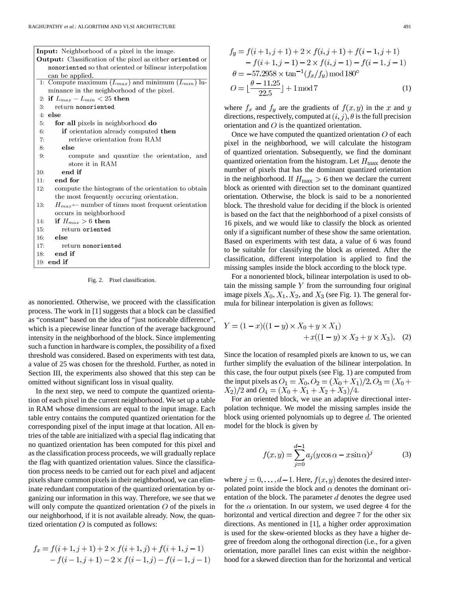| <b>Input:</b> Neighborhood of a pixel in the image.              |  |  |  |  |  |  |  |
|------------------------------------------------------------------|--|--|--|--|--|--|--|
| <b>Output:</b> Classification of the pixel as either oriented or |  |  |  |  |  |  |  |
| nonoriented so that oriented or bilinear interpolation           |  |  |  |  |  |  |  |
| can be applied.                                                  |  |  |  |  |  |  |  |
| 1: Compute maximum $(L_{max})$ and minimum $(L_{min})$ lu-       |  |  |  |  |  |  |  |
| minance in the neighborhood of the pixel.                        |  |  |  |  |  |  |  |
| if $L_{max} - L_{min} < 25$ then<br>2:                           |  |  |  |  |  |  |  |
| 3.<br>return nonoriented                                         |  |  |  |  |  |  |  |
| $4:$ else                                                        |  |  |  |  |  |  |  |
| for all pixels in neighborhood do<br>5.                          |  |  |  |  |  |  |  |
| <b>if</b> orientation already computed <b>then</b><br>6:         |  |  |  |  |  |  |  |
| retrieve orientation from RAM<br>7:                              |  |  |  |  |  |  |  |
| else<br>8.                                                       |  |  |  |  |  |  |  |
| compute and quantize the orientation, and<br>9:                  |  |  |  |  |  |  |  |
| store it in RAM                                                  |  |  |  |  |  |  |  |
| end if<br>10:                                                    |  |  |  |  |  |  |  |
| end for<br>11:                                                   |  |  |  |  |  |  |  |
| compute the histogram of the orientation to obtain<br>12:        |  |  |  |  |  |  |  |
| the most frequently occuring orientation.                        |  |  |  |  |  |  |  |
| 13:<br>$H_{max}$ – number of times most frequent orientation     |  |  |  |  |  |  |  |
| occurs in neighborhood                                           |  |  |  |  |  |  |  |
| if $H_{max} > 6$ then<br>14:                                     |  |  |  |  |  |  |  |
| 15:<br>return oriented                                           |  |  |  |  |  |  |  |
| else<br>16:                                                      |  |  |  |  |  |  |  |
| 17:<br>return nonoriented                                        |  |  |  |  |  |  |  |
| end if<br>18:                                                    |  |  |  |  |  |  |  |
| $19:$ end if                                                     |  |  |  |  |  |  |  |
|                                                                  |  |  |  |  |  |  |  |

Fig. 2. Pixel classification.

as nonoriented. Otherwise, we proceed with the classification process. The work in [1] suggests that a block can be classified as "constant" based on the idea of "just noticeable difference", which is a piecewise linear function of the average background intensity in the neighborhood of the block. Since implementing such a function in hardware is complex, the possibility of a fixed threshold was considered. Based on experiments with test data, a value of 25 was chosen for the threshold. Further, as noted in Section III, the experiments also showed that this step can be omitted without significant loss in visual quality.

In the next step, we need to compute the quantized orientation of each pixel in the current neighborhood. We set up a table in RAM whose dimensions are equal to the input image. Each table entry contains the computed quantized orientation for the corresponding pixel of the input image at that location. All entries of the table are initialized with a special flag indicating that no quantized orientation has been computed for this pixel and as the classification process proceeds, we will gradually replace the flag with quantized orientation values. Since the classification process needs to be carried out for each pixel and adjacent pixels share common pixels in their neighborhood, we can eliminate redundant computation of the quantized orientation by organizing our information in this way. Therefore, we see that we will only compute the quantized orientation  $O$  of the pixels in our neighborhood, if it is not available already. Now, the quantized orientation  $O$  is computed as follows:

$$
f_x = f(i+1, j+1) + 2 \times f(i+1, j) + f(i+1, j-1)
$$
  
- 
$$
f(i-1, j+1) - 2 \times f(i-1, j) - f(i-1, j-1)
$$

$$
f_y = f(i+1, j+1) + 2 \times f(i, j+1) + f(i-1, j+1)
$$
  
- 
$$
f(i+1, j-1) - 2 \times f(i, j-1) - f(i-1, j-1)
$$
  

$$
\theta = -57.2958 \times \tan^{-1}(f_x/f_y) \mod 180^\circ
$$
  

$$
O = \lfloor \frac{\theta - 11.25}{22.5} \rfloor + 1 \mod 7
$$
 (1)

where  $f_x$  and  $f_y$  are the gradients of  $f(x, y)$  in the x and y directions, respectively, computed at  $(i, j)$ ,  $\theta$  is the full precision orientation and  $O$  is the quantized orientation.

Once we have computed the quantized orientation  $O$  of each pixel in the neighborhood, we will calculate the histogram of quantized orientation. Subsequently, we find the dominant quantized orientation from the histogram. Let  $H_{\text{max}}$  denote the number of pixels that has the dominant quantized orientation in the neighborhood. If  $H_{\text{max}} > 6$  then we declare the current block as oriented with direction set to the dominant quantized orientation. Otherwise, the block is said to be a nonoriented block. The threshold value for deciding if the block is oriented is based on the fact that the neighborhood of a pixel consists of 16 pixels, and we would like to classify the block as oriented only if a significant number of these show the same orientation. Based on experiments with test data, a value of 6 was found to be suitable for classifying the block as oriented. After the classification, different interpolation is applied to find the missing samples inside the block according to the block type.

For a nonoriented block, bilinear interpolation is used to obtain the missing sample  $Y$  from the surrounding four original image pixels  $X_0, X_1, X_2$ , and  $X_3$  (see Fig. 1). The general formula for bilinear interpolation is given as follows:

$$
Y = (1 - x)((1 - y) \times X_0 + y \times X_1) + x((1 - y) \times X_2 + y \times X_3).
$$
 (2)

Since the location of resampled pixels are known to us, we can further simplify the evaluation of the bilinear interpolation. In this case, the four output pixels (see Fig. 1) are computed from the input pixels as  $O_1 = X_0$ ,  $O_2 = (X_0 + X_1)/2$ ,  $O_3 = (X_0 +$  $(X_2)/2$  and  $O_4 = (X_0 + X_1 + X_2 + X_3)/4$ .

For an oriented block, we use an adaptive directional interpolation technique. We model the missing samples inside the block using oriented polynomials up to degree  $d$ . The oriented model for the block is given by

$$
f(x,y) = \sum_{j=0}^{d-1} a_j (y \cos \alpha - x \sin \alpha)^j
$$
 (3)

where  $j = 0, \ldots, d-1$ . Here,  $f(x, y)$  denotes the desired interpolated point inside the block and  $\alpha$  denotes the dominant orientation of the block. The parameter  $d$  denotes the degree used for the  $\alpha$  orientation. In our system, we used degree 4 for the horizontal and vertical direction and degree 7 for the other six directions. As mentioned in [1], a higher order approximation is used for the skew-oriented blocks as they have a higher degree of freedom along the orthogonal direction (i.e., for a given orientation, more parallel lines can exist within the neighborhood for a skewed direction than for the horizontal and vertical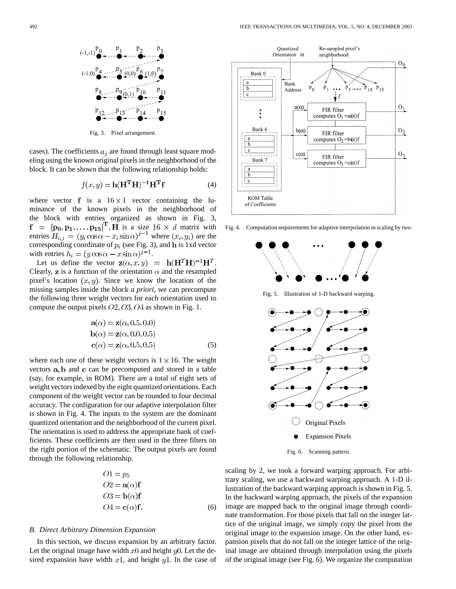

Fig. 3. Pixel arrangement.

cases). The coefficients  $a_i$  are found through least square modeling using the known original pixels in the neighborhood of the block. It can be shown that the following relationship holds:

$$
f(x, y) = \mathbf{h}(\mathbf{H}^{\mathrm{T}} \mathbf{H})^{-1} \mathbf{H}^{\mathrm{T}} \mathbf{f}
$$
 (4)

where vector **f** is a  $16 \times 1$  vector containing the luminance of the known pixels in the neighborhood of the block with entries organized as shown in Fig. 3,  $f = [p_0, p_1, \ldots, p_{15}]^T$ ,  $\overrightarrow{H}$  is a size 16  $\times$  d matrix with entries  $H_{i,j} = (y_i \cos \alpha - x_i \sin \alpha)^{j-1}$  where  $(x_i, y_i)$  are the corresponding coordinate of  $p_i$  (see Fig. 3), and **h** is 1xd vector with entries  $h_i = (y \cos \alpha - x \sin \alpha)^{j-1}$ .

Let us define the vector  $\mathbf{z}(\alpha, x, y) = \mathbf{h}(\mathbf{H}^T \mathbf{H})^{-1} \mathbf{H}^T$ . Clearly, z is a function of the orientation  $\alpha$  and the resampled pixel's location  $(x, y)$ . Since we know the location of the missing samples inside the block *a priori*, we can precompute the following three weight vectors for each orientation used to compute the output pixels  $O2, O3, O4$  as shown in Fig. 1.

$$
\mathbf{a}(\alpha) = \mathbf{z}(\alpha, 0.5, 0.0) \n\mathbf{b}(\alpha) = \mathbf{z}(\alpha, 0.0, 0.5) \n\mathbf{c}(\alpha) = \mathbf{z}(\alpha, 0.5, 0.5)
$$
\n(5)

where each one of these weight vectors is  $1 \times 16$ . The weight vectors  $a, b$  and  $c$  can be precomputed and stored in a table (say, for example, in ROM). There are a total of eight sets of weight vectors indexed by the eight quantized orientations. Each component of the weight vector can be rounded to four decimal accuracy. The configuration for our adaptive interpolation filter is shown in Fig. 4. The inputs to the system are the dominant quantized orientation and the neighborhood of the current pixel. The orientation is used to address the appropriate bank of coefficients. These coefficients are then used in the three filters on the right portion of the schematic. The output pixels are found through the following relationship.

$$
O1 = p_5
$$
  
\n
$$
O2 = \mathbf{a}(\alpha)\mathbf{f}
$$
  
\n
$$
O3 = \mathbf{b}(\alpha)\mathbf{f}
$$
  
\n
$$
O4 = \mathbf{c}(\alpha)\mathbf{f}.
$$
\n(6)

#### *B. Direct Arbitrary Dimension Expansion*

In this section, we discuss expansion by an arbitrary factor. Let the original image have width  $x0$  and height  $y0$ . Let the desired expansion have width  $x1$ , and height  $y1$ . In the case of



Fig. 4. Computation requirements for adaptive interpolation in scaling by two.



Fig. 5. Illustration of 1-D backward warping.



scaling by 2, we took a forward warping approach. For arbitrary scaling, we use a backward warping approach. A 1-D illustration of the backward warping approach is shown in Fig. 5. In the backward warping approach, the pixels of the expansion image are mapped back to the original image through coordinate transformation. For those pixels that fall on the integer lattice of the original image, we simply copy the pixel from the original image to the expansion image. On the other hand, expansion pixels that do not fall on the integer lattice of the original image are obtained through interpolation using the pixels of the original image (see Fig. 6). We organize the computation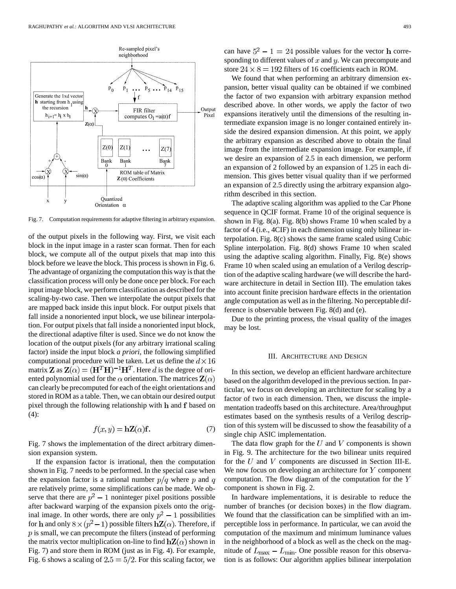

Fig. 7. Computation requirements for adaptive filtering in arbitrary expansion.

of the output pixels in the following way. First, we visit each block in the input image in a raster scan format. Then for each block, we compute all of the output pixels that map into this block before we leave the block. This process is shown in Fig. 6. The advantage of organizing the computation this way is that the classification process will only be done once per block. For each input image block, we perform classification as described for the scaling-by-two case. Then we interpolate the output pixels that are mapped back inside this input block. For output pixels that fall inside a nonoriented input block, we use bilinear interpolation. For output pixels that fall inside a nonoriented input block, the directional adaptive filter is used. Since we do not know the location of the output pixels (for any arbitrary irrational scaling factor) inside the input block *a priori*, the following simplified computational procedure will be taken. Let us define the  $d \times 16$ matrix **Z** as  $\mathbf{Z}(\alpha) = (\mathbf{H}^T \mathbf{H})^{-1} \mathbf{H}^T$ . Here d is the degree of oriented polynomial used for the  $\alpha$  orientation. The matrices  $\mathbf{Z}(\alpha)$ can clearly be precomputed for each of the eight orientations and stored in ROM as a table. Then, we can obtain our desired output pixel through the following relationship with  $h$  and  $f$  based on  $(4)$ :

$$
f(x, y) = h\mathbf{Z}(\alpha)\mathbf{f}.\tag{7}
$$

Fig. 7 shows the implementation of the direct arbitrary dimension expansion system.

If the expansion factor is irrational, then the computation shown in Fig. 7 needs to be performed. In the special case when the expansion factor is a rational number  $p/q$  where p and q are relatively prime, some simplifications can be made. We observe that there are  $p^2 - 1$  noninteger pixel positions possible after backward warping of the expansion pixels onto the original image. In other words, there are only  $p^2 - 1$  possibilities for h and only  $8 \times (p^2 - 1)$  possible filters  $hZ(\alpha)$ . Therefore, if  $p$  is small, we can precompute the filters (instead of performing the matrix vector multiplication on-line to find  $hZ(\alpha)$  shown in Fig. 7) and store them in ROM (just as in Fig. 4). For example, Fig. 6 shows a scaling of  $2.5 = 5/2$ . For this scaling factor, we can have  $5^2 - 1 = 24$  possible values for the vector h corresponding to different values of  $x$  and  $y$ . We can precompute and store  $24 \times 8 = 192$  filters of 16 coefficients each in ROM.

We found that when performing an arbitrary dimension expansion, better visual quality can be obtained if we combined the factor of two expansion with arbitrary expansion method described above. In other words, we apply the factor of two expansions iteratively until the dimensions of the resulting intermediate expansion image is no longer contained entirely inside the desired expansion dimension. At this point, we apply the arbitrary expansion as described above to obtain the final image from the intermediate expansion image. For example, if we desire an expansion of 2.5 in each dimension, we perform an expansion of 2 followed by an expansion of 1.25 in each dimension. This gives better visual quality than if we performed an expansion of 2.5 directly using the arbitrary expansion algorithm described in this section.

The adaptive scaling algorithm was applied to the Car Phone sequence in QCIF format. Frame 10 of the original sequence is shown in Fig. 8(a). Fig. 8(b) shows Frame 10 when scaled by a factor of 4 (i.e., 4CIF) in each dimension using only bilinear interpolation. Fig. 8(c) shows the same frame scaled using Cubic Spline interpolation. Fig. 8(d) shows Frame 10 when scaled using the adaptive scaling algorithm. Finally, Fig. 8(e) shows Frame 10 when scaled using an emulation of a Verilog description of the adaptive scaling hardware (we will describe the hardware architecture in detail in Section III). The emulation takes into account finite precision hardware effects in the orientation angle computation as well as in the filtering. No perceptable difference is observable between Fig. 8(d) and (e).

Due to the printing process, the visual quality of the images may be lost.

#### III. ARCHITECTURE AND DESIGN

In this section, we develop an efficient hardware architecture based on the algorithm developed in the previous section. In particular, we focus on developing an architecture for scaling by a factor of two in each dimension. Then, we discuss the implementation tradeoffs based on this architecture. Area/throughput estimates based on the synthesis results of a Verilog description of this system will be discussed to show the feasability of a single chip ASIC implementation.

The data flow graph for the  $U$  and  $V$  components is shown in Fig. 9. The architecture for the two bilinear units required for the  $U$  and  $V$  components are discussed in Section III-E. We now focus on developing an architecture for  $Y$  component computation. The flow diagram of the computation for the  $Y$ component is shown in Fig. 2.

In hardware implementations, it is desirable to reduce the number of branches (or decision boxes) in the flow diagram. We found that the classification can be simplified with an imperceptible loss in performance. In particular, we can avoid the computation of the maximum and minimum luminance values in the neighborhood of a block as well as the check on the magnitude of  $L_{\text{max}} - L_{\text{min}}$ . One possible reason for this observation is as follows: Our algorithm applies bilinear interpolation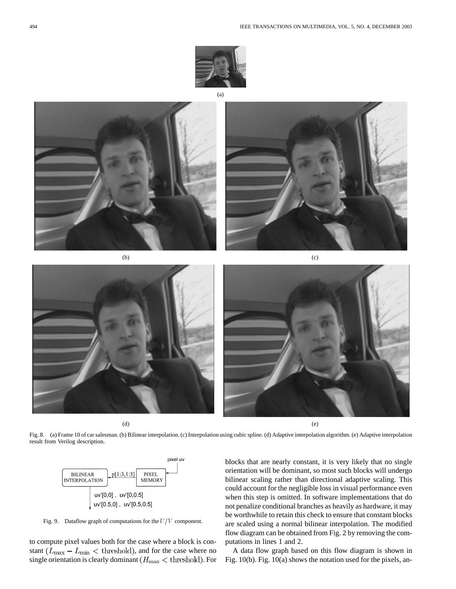

(a)









Fig. 8. (a) Frame 10 of car salesman. (b) Bilinear interpolation. (c) Interpolation using cubic spline. (d) Adaptive interpolation algorithm. (e) Adaptive interpolation result from Verilog description.



Fig. 9. Dataflow graph of computations for the  $U/V$  component.

to compute pixel values both for the case where a block is constant  $(L_{\rm max} - L_{\rm min} <$  threshold), and for the case where no single orientation is clearly dominant ( $H_{\text{max}} <$  threshold). For blocks that are nearly constant, it is very likely that no single orientation will be dominant, so most such blocks will undergo bilinear scaling rather than directional adaptive scaling. This could account for the negligible loss in visual performance even when this step is omitted. In software implementations that do not penalize conditional branches as heavily as hardware, it may be worthwhile to retain this check to ensure that constant blocks are scaled using a normal bilinear interpolation. The modified flow diagram can be obtained from Fig. 2 by removing the computations in lines 1 and 2.

A data flow graph based on this flow diagram is shown in Fig. 10(b). Fig. 10(a) shows the notation used for the pixels, an-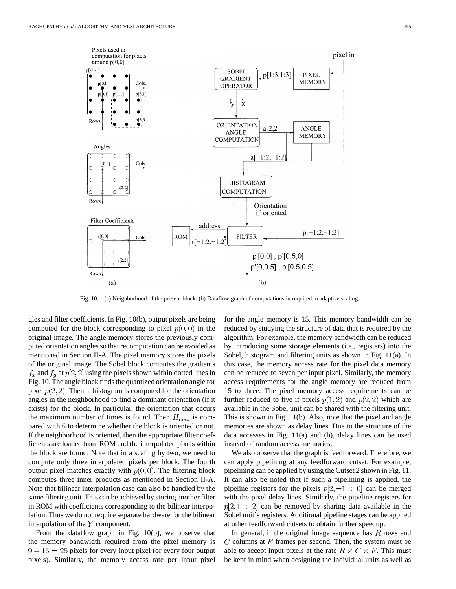

Fig. 10. (a) Neighborhood of the present block. (b) Dataflow graph of computations in required in adaptive scaling.

gles and filter coefficients. In Fig. 10(b), output pixels are being computed for the block corresponding to pixel  $p(0,0)$  in the original image. The angle memory stores the previously computed orientation angles so that recomputation can be avoided as mentioned in Section II-A. The pixel memory stores the pixels of the original image. The Sobel block computes the gradients  $f_x$  and  $f_y$  at  $p[2,2]$  using the pixels shown within dotted lines in Fig. 10. The angle block finds the quantized orientation angle for pixel  $p(2,2)$ . Then, a histogram is computed for the orientation angles in the neighborhood to find a dominant orientation (if it exists) for the block. In particular, the orientation that occurs the maximum number of times is found. Then  $H_{\text{max}}$  is compared with 6 to determine whether the block is oriented or not. If the neighborhood is oriented, then the appropriate filter coefficients are loaded from ROM and the interpolated pixels within the block are found. Note that in a scaling by two, we need to compute only three interpolated pixels per block. The fourth output pixel matches exactly with  $p(0,0)$ . The filtering block computes three inner products as mentioned in Section II-A. Note that bilinear interpolation case can also be handled by the same filtering unit. This can be achieved by storing another filter in ROM with coefficients corresponding to the bilinear interpolation. Thus we do not require separate hardware for the bilinear interpolation of the  $Y$  component.

From the dataflow graph in Fig. 10(b), we observe that the memory bandwidth required from the pixel memory is  $9 + 16 = 25$  pixels for every input pixel (or every four output pixels). Similarly, the memory access rate per input pixel for the angle memory is 15. This memory bandwidth can be reduced by studying the structure of data that is required by the algorithm. For example, the memory bandwidth can be reduced by introducing some storage elements (i.e., registers) into the Sobel, histogram and filtering units as shown in Fig. 11(a). In this case, the memory access rate for the pixel data memory can be reduced to seven per input pixel. Similarly, the memory access requirements for the angle memory are reduced from 15 to three. The pixel memory access requirements can be further reduced to five if pixels  $p(1,2)$  and  $p(2,2)$  which are available in the Sobel unit can be shared with the filtering unit. This is shown in Fig. 11(b). Also, note that the pixel and angle memories are shown as delay lines. Due to the structure of the data accesses in Fig. 11(a) and (b), delay lines can be used instead of random access memories.

We also observe that the graph is feedforward. Therefore, we can apply pipelining at any feedforward cutset. For example, pipelining can be applied by using the Cutset 2 shown in Fig. 11. It can also be noted that if such a pipelining is applied, the pipeline registers for the pixels  $p[2, -1]$ : 0 can be merged with the pixel delay lines. Similarly, the pipeline registers for  $p[2, 1 : 2]$  can be removed by sharing data available in the Sobel unit's registers. Additional pipeline stages can be applied at other feedforward cutsets to obtain further speedup.

In general, if the original image sequence has  $R$  rows and  $C$  columns at  $F$  frames per second. Then, the system must be able to accept input pixels at the rate  $R \times C \times F$ . This must be kept in mind when designing the individual units as well as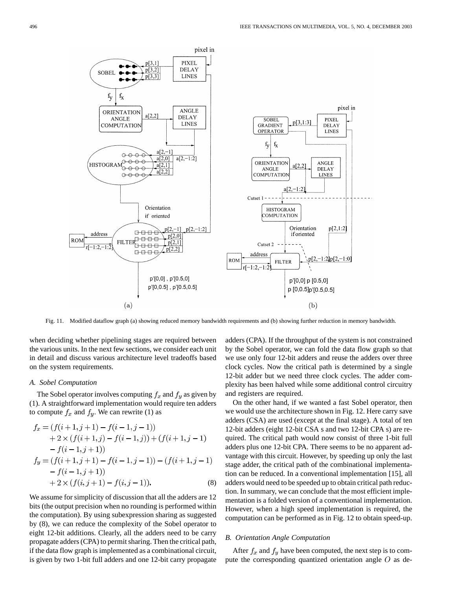

Fig. 11. Modified dataflow graph (a) showing reduced memory bandwidth requirements and (b) showing further reduction in memory bandwidth.

when deciding whether pipelining stages are required between the various units. In the next few sections, we consider each unit in detail and discuss various architecture level tradeoffs based on the system requirements.

## *A. Sobel Computation*

The Sobel operator involves computing  $f_x$  and  $f_y$  as given by (1). A straightforward implementation would require ten adders to compute  $f_x$  and  $f_y$ . We can rewrite (1) as

$$
f_x = (f(i+1,j+1) - f(i-1,j-1))
$$
  
+2 × (f(i+1,j) - f(i-1,j)) + (f(i+1,j-1)  
-f(i-1,j+1))  

$$
f_y = (f(i+1,j+1) - f(i-1,j-1)) - (f(i+1,j-1))
$$
  
-f(i-1,j+1))  
+2 × (f(i,j+1) - f(i,j-1)). (8)

We assume for simplicity of discussion that all the adders are 12 bits (the output precision when no rounding is performed within the computation). By using subexpression sharing as suggested by (8), we can reduce the complexity of the Sobel operator to eight 12-bit additions. Clearly, all the adders need to be carry propagate adders (CPA) to permit sharing. Then the critical path, if the data flow graph is implemented as a combinational circuit, is given by two 1-bit full adders and one 12-bit carry propagate adders (CPA). If the throughput of the system is not constrained by the Sobel operator, we can fold the data flow graph so that we use only four 12-bit adders and reuse the adders over three clock cycles. Now the critical path is determined by a single 12-bit adder but we need three clock cycles. The adder complexity has been halved while some additional control circuitry and registers are required.

On the other hand, if we wanted a fast Sobel operator, then we would use the architecture shown in Fig. 12. Here carry save adders (CSA) are used (except at the final stage). A total of ten 12-bit adders (eight 12-bit CSA s and two 12-bit CPA s) are required. The critical path would now consist of three 1-bit full adders plus one 12-bit CPA. There seems to be no apparent advantage with this circuit. However, by speeding up only the last stage adder, the critical path of the combinational implementation can be reduced. In a conventional implementation [15], all adders would need to be speeded up to obtain critical path reduction. In summary, we can conclude that the most efficient implementation is a folded version of a conventional implementation. However, when a high speed implementation is required, the computation can be performed as in Fig. 12 to obtain speed-up.

#### *B. Orientation Angle Computation*

After  $f_x$  and  $f_y$  have been computed, the next step is to compute the corresponding quantized orientation angle  $O$  as de-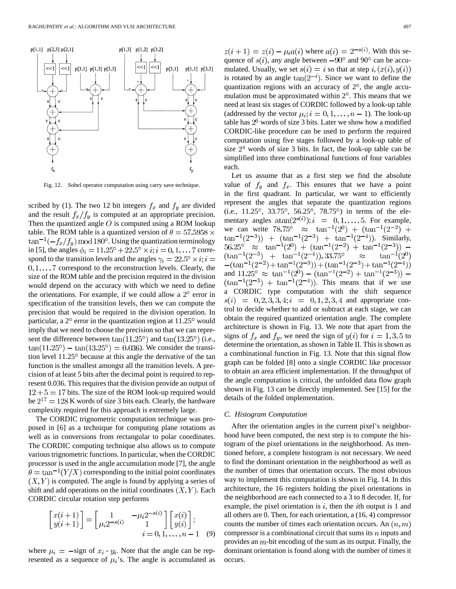

Fig. 12. Sobel operator computation using carry save technique.

scribed by (1). The two 12 bit integers  $f_x$  and  $f_y$  are divided and the result  $f_x/f_y$  is computed at an appropriate precision. Then the quantized angle  $O$  is computed using a ROM lookup table. The ROM table is a quantized version of  $\theta = 57.5958 \times$  $\tan^{-1}(-f_x/f_y)$  mod 180°. Using the quantization terminology in [5], the angles  $\phi_i = 11.25^{\circ} + 22.5^{\circ} \times i; i = 0, 1, \dots$  7 correspond to the transition levels and the angles  $\gamma_i = 22.5^\circ \times i$ ;  $i =$  $0, 1, \ldots$  7 correspond to the reconstruction levels. Clearly, the size of the ROM table and the precision required in the division would depend on the accuracy with which we need to define the orientations. For example, if we could allow a  $2^{\circ}$  error in specification of the transition levels, then we can compute the precision that would be required in the division operation. In particular, a  $2^{\circ}$  error in the quantization region at  $11.25^{\circ}$  would imply that we need to choose the precision so that we can represent the difference between  $tan(11.25^{\circ})$  and  $tan(13.25^{\circ})$  (i.e.,  $\tan(11.25^{\circ}) - \tan(13.25^{\circ}) = 0.036$ ). We consider the transition level  $11.25^{\circ}$  because at this angle the derivative of the tan function is the smallest amongst all the transition levels. A precision of at least 5 bits after the decimal point is required to represent 0.036. This requires that the division provide an output of  $12 + 5 = 17$  bits. The size of the ROM look-up required would be  $2^{17} = 128$  K words of size 3 bits each. Clearly, the hardware complexity required for this approach is extremely large.

The CORDIC trignometric computation technique was proposed in [6] as a technique for computing plane rotations as well as in conversions from rectangular to polar coordinates. The CORDIC computing technique also allows us to compute various trignometric functions. In particular, when the CORDIC processor is used in the angle accumulation mode [7], the angle  $\theta = \tan^{-1}(Y/X)$  corresponding to the initial point coordinates  $(X, Y)$  is computed. The angle is found by applying a series of shift and add operations on the initial coordinates  $(X, Y)$ . Each CORDIC circular rotation step performs

$$
\begin{bmatrix} x(i+1) \\ y(i+1) \end{bmatrix} = \begin{bmatrix} 1 & -\mu_i 2^{-s(i)} \\ \mu_i 2^{-s(i)} & 1 \end{bmatrix} \begin{bmatrix} x(i) \\ y(i) \end{bmatrix};
$$
  
 $i = 0, 1, ..., n-1$  (9)

where  $\mu_i = -\text{sign of } x_i \cdot y_i$ . Note that the angle can be represented as a sequence of  $\mu_i$ 's. The angle is accumulated as

 $z(i+1) = z(i) - \mu_i a(i)$  where  $a(i) = 2^{-s(i)}$ . With this sequence of  $s(i)$ , any angle between  $-90^{\circ}$  and  $90^{\circ}$  can be accumulated. Usually, we set  $s(i) = i$  so that at step  $i, (x(i), y(i))$ is rotated by an angle  $tan(2^{-i})$ . Since we want to define the quantization regions with an accuracy of  $2^\circ$ , the angle accumulation must be approximated within  $2^\circ$ . This means that we need at least six stages of CORDIC followed by a look-up table (addressed by the vector  $\mu_i$ ;  $i = 0, 1, ..., n - 1$ ). The look-up table has  $2^6$  words of size 3 bits. Later we show how a modified CORDIC-like procedure can be used to perform the required computation using five stages followed by a look-up table of size  $2<sup>4</sup>$  words of size 3 bits. In fact, the look-up table can be

simplified into three combinational functions of four variables

Let us assume that as a first step we find the absolute value of  $f_y$  and  $f_x$ . This ensures that we have a point in the first quadrant. In particular, we want to efficiently represent the angles that separate the quantization regions (i.e.,  $11.25^{\circ}$ ,  $33.75^{\circ}$ ,  $56.25^{\circ}$ ,  $78.75^{\circ}$ ) in terms of the elementary angles  $\text{atan}(2^{s(i)}); i = 0, 1, ..., 5$ . For example, we can write  $78.75^{\circ} \approx \tan^{-1}(2^0) + (\tan^{-1}(2^{-2}) +$  $\tan^{-1}(2^{-3})$  +  $(\tan^{-1}(2^{-3}) + \tan^{-1}(2^{-4}))$ . Similarly,<br>
56.25°  $\approx \tan^{-1}(2^{0}) + (\tan^{-1}(2^{-2}) + \tan^{-1}(2^{-3})) - (\tan^{-1}(2^{-3}) + \tan^{-1}(2^{-4})),$ 33.75°  $\approx \tan^{-1}(2^{0})$  $-(\tan^{-1}(2^{-2}) + \tan^{-1}(2^{-3})) + (\tan^{-1}(2^{-3}) + \tan^{-1}(2^{-4}))$ and  $11.25^{\circ} \approx \tan^{-1}(2^0) - (\tan^{-1}(2^{-2}) + \tan^{-1}(2^{-3})) (\tan^{-1}(2^{-3}) + \tan^{-1}(2^{-4}))$ . This means that if we use a CORDIC type computation with the shift sequence  $s(i) = 0, 2, 3, 3, 4; i = 0, 1, 2, 3, 4$  and appropriate control to decide whether to add or subtract at each stage, we can obtain the required quantized orientation angle. The complete architecture is shown in Fig. 13. We note that apart from the signs of  $f_x$  and  $f_y$ , we need the sign of  $y(i)$  for  $i = 1, 3, 5$  to determine the orientation, as shown in Table II. This is shown as a combinational function in Fig. 13. Note that this signal flow graph can be folded [8] onto a single CORDIC like processor to obtain an area efficient implementation. If the throughput of the angle computation is critical, the unfolded data flow graph shown in Fig. 13 can be directly implemented. See [15] for the details of the folded implementation.

## *C. Histogram Computation*

each.

After the orientation angles in the current pixel's neighborhood have been computed, the next step is to compute the histogram of the pixel orientations in the neighborhood. As mentioned before, a complete histogram is not necessary. We need to find the dominant orientation in the neighborhood as well as the number of times that orientation occurs. The most obvious way to implement this computation is shown in Fig. 14. In this architecture, the 16 registers holding the pixel orientations in the neighborhood are each connected to a 3 to 8 decoder. If, for example, the pixel orientation is  $i$ , then the  $i$ th output is 1 and all others are 0. Then, for each orientation, a (16, 4) compressor counts the number of times each orientation occurs. An  $(n, m)$ compressor is a combinational circuit that sums its  $n$  inputs and provides an  $m$ -bit encoding of the sum as its output. Finally, the dominant orientation is found along with the number of times it occurs.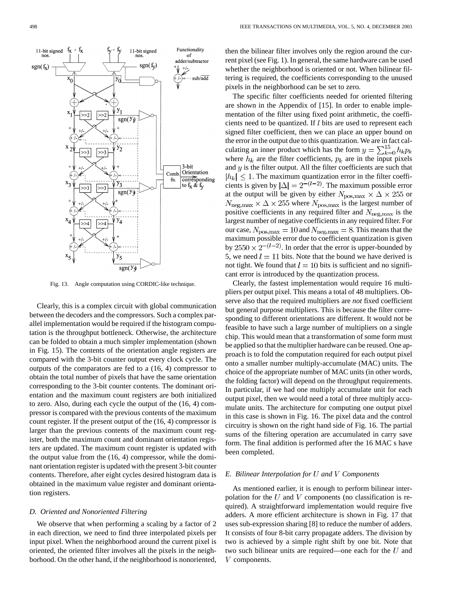

Fig. 13. Angle computation using CORDIC-like technique.

Clearly, this is a complex circuit with global communication between the decoders and the compressors. Such a complex parallel implementation would be required if the histogram computation is the throughput bottleneck. Otherwise, the architecture can be folded to obtain a much simpler implementation (shown in Fig. 15). The contents of the orientation angle registers are compared with the 3-bit counter output every clock cycle. The outputs of the comparators are fed to a (16, 4) compressor to obtain the total number of pixels that have the same orientation corresponding to the 3-bit counter contents. The dominant orientation and the maximum count registers are both initialized to zero. Also, during each cycle the output of the (16, 4) compressor is compared with the previous contents of the maximum count register. If the present output of the (16, 4) compressor is larger than the previous contents of the maximum count register, both the maximum count and dominant orientation registers are updated. The maximum count register is updated with the output value from the (16, 4) compressor, while the dominant orientation register is updated with the present 3-bit counter contents. Therefore, after eight cycles desired histogram data is obtained in the maximum value register and dominant orientation registers.

#### *D. Oriented and Nonoriented Filtering*

We observe that when performing a scaling by a factor of 2 in each direction, we need to find three interpolated pixels per input pixel. When the neighborhood around the current pixel is oriented, the oriented filter involves all the pixels in the neighborhood. On the other hand, if the neighborhood is nonoriented, then the bilinear filter involves only the region around the current pixel (see Fig. 1). In general, the same hardware can be used whether the neighborhood is oriented or not. When bilinear filtering is required, the coefficients corresponding to the unused pixels in the neighborhood can be set to zero.

The specific filter coefficients needed for oriented filtering are shown in the Appendix of [15]. In order to enable implementation of the filter using fixed point arithmetic, the coefficients need to be quantized. If  $l$  bits are used to represent each signed filter coefficient, then we can place an upper bound on the error in the output due to this quantization. We are in fact calculating an inner product which has the form  $y = \sum_{k=0}^{15} h_k p_k$ where  $h_k$  are the filter coefficients,  $p_k$  are in the input pixels and  $y$  is the filter output. All the filter coefficients are such that . The maximum quantization error in the filter coefficients is given by  $|\Delta| = 2^{-(l-2)}$ . The maximum possible error at the output will be given by either  $N_{\text{pos,max}} \times \Delta \times 255$  or  $N_{\text{neg,max}} \times \Delta \times 255$  where  $N_{\text{pos,max}}$  is the largest number of positive coefficients in any required filter and  $N_{\text{neg,max}}$  is the largest number of negative coefficients in any required filter. For our case,  $N_{\text{pos,max}} = 10$  and  $N_{\text{neg,max}} = 8$ . This means that the maximum possible error due to coefficient quantization is given by  $2550 \times 2^{-(l-2)}$ . In order that the error is upper-bounded by 5, we need  $l = 11$  bits. Note that the bound we have derived is not tight. We found that  $l = 10$  bits is sufficient and no significant error is introduced by the quantization process.

Clearly, the fastest implementation would require 16 multipliers per output pixel. This means a total of 48 multipliers. Observe also that the required multipliers are *not* fixed coefficient but general purpose multipliers. This is because the filter corresponding to different orientations are different. It would not be feasible to have such a large number of multipliers on a single chip. This would mean that a transformation of some form must be applied so that the multiplier hardware can be reused. One approach is to fold the computation required for each output pixel onto a smaller number multiply-accumulate (MAC) units. The choice of the appropriate number of MAC units (in other words, the folding factor) will depend on the throughput requirements. In particular, if we had one multiply accumulate unit for each output pixel, then we would need a total of three multiply accumulate units. The architecture for computing one output pixel in this case is shown in Fig. 16. The pixel data and the control circuitry is shown on the right hand side of Fig. 16. The partial sums of the filtering operation are accumulated in carry save form. The final addition is performed after the 16 MAC s have been completed.

## *E. Bilinear Interpolation for U* and *V* Components

As mentioned earlier, it is enough to perform bilinear interpolation for the  $U$  and  $V$  components (no classification is required). A straightforward implementation would require five adders. A more efficient architecture is shown in Fig. 17 that uses sub-expression sharing [8] to reduce the number of adders. It consists of four 8-bit carry propagate adders. The division by two is achieved by a simple right shift by one bit. Note that two such bilinear units are required—one each for the  $U$  and  $V$  components.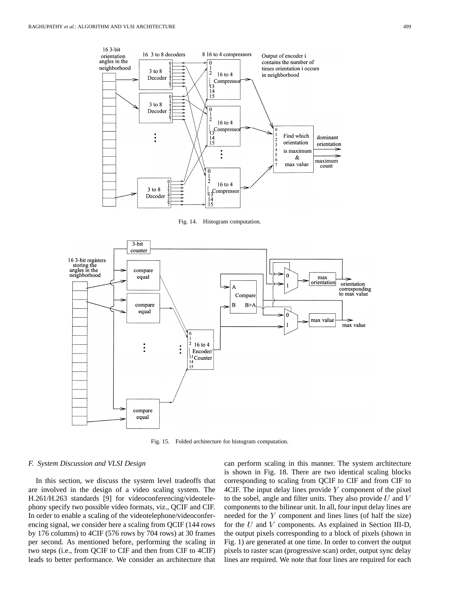

Fig. 14. Histogram computation.



Fig. 15. Folded architecture for histogram computation.

## *F. System Discussion and VLSI Design*

In this section, we discuss the system level tradeoffs that are involved in the design of a video scaling system. The H.261/H.263 standards [9] for videoconferencing/videotelephony specify two possible video formats, viz., QCIF and CIF. In order to enable a scaling of the videotelephone/videoconferencing signal, we consider here a scaling from QCIF (144 rows by 176 columns) to 4CIF (576 rows by 704 rows) at 30 frames per second. As mentioned before, performing the scaling in two steps (i.e., from QCIF to CIF and then from CIF to 4CIF) leads to better performance. We consider an architecture that can perform scaling in this manner. The system architecture is shown in Fig. 18. There are two identical scaling blocks corresponding to scaling from QCIF to CIF and from CIF to 4CIF. The input delay lines provide  $Y$  component of the pixel to the sobel, angle and filter units. They also provide  $U$  and  $V$ components to the bilinear unit. In all, four input delay lines are needed for the  $Y$  component and lines lines (of half the size) for the  $U$  and  $V$  components. As explained in Section III-D, the output pixels corresponding to a block of pixels (shown in Fig. 1) are generated at one time. In order to convert the output pixels to raster scan (progressive scan) order, output sync delay lines are required. We note that four lines are required for each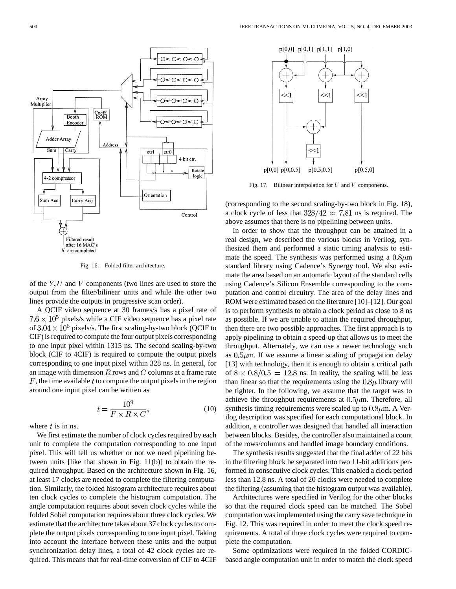

Fig. 16. Folded filter architecture.

of the  $Y, U$  and V components (two lines are used to store the output from the filter/bilinear units and while the other two lines provide the outputs in progressive scan order).

A QCIF video sequence at 30 frames/s has a pixel rate of  $7.6 \times 10^5$  pixels/s while a CIF video sequence has a pixel rate of  $3.04 \times 10^6$  pixels/s. The first scaling-by-two block (QCIF to CIF) is required to compute the four output pixels corresponding to one input pixel within 1315 ns. The second scaling-by-two block (CIF to 4CIF) is required to compute the output pixels corresponding to one input pixel within 328 ns. In general, for an image with dimension  $R$  rows and  $C$  columns at a frame rate  $F$ , the time available t to compute the output pixels in the region around one input pixel can be written as

$$
t = \frac{10^9}{F \times R \times C},\tag{10}
$$

where  $t$  is in ns.

We first estimate the number of clock cycles required by each unit to complete the computation corresponding to one input pixel. This will tell us whether or not we need pipelining between units [like that shown in Fig. 11(b)] to obtain the required throughput. Based on the architecture shown in Fig. 16, at least 17 clocks are needed to complete the filtering computation. Similarly, the folded histogram architecture requires about ten clock cycles to complete the histogram computation. The angle computation requires about seven clock cycles while the folded Sobel computation requires about three clock cycles. We estimate that the architecture takes about 37 clock cycles to complete the output pixels corresponding to one input pixel. Taking into account the interface between these units and the output synchronization delay lines, a total of 42 clock cycles are required. This means that for real-time conversion of CIF to 4CIF



Fig. 17. Bilinear interpolation for  $U$  and  $V$  components.

(corresponding to the second scaling-by-two block in Fig. 18), a clock cycle of less that  $328/42 \approx 7.81$  ns is required. The above assumes that there is no pipelining between units.

In order to show that the throughput can be attained in a real design, we described the various blocks in Verilog, synthesized them and performed a static timing analysis to estimate the speed. The synthesis was performed using a  $0.8 \mu m$ standard library using Cadence's Synergy tool. We also estimate the area based on an automatic layout of the standard cells using Cadence's Silicon Ensemble corresponding to the computation and control circuitry. The area of the delay lines and ROM were estimated based on the literature [10]–[12]. Our goal is to perform synthesis to obtain a clock period as close to 8 ns as possible. If we are unable to attain the required throughput, then there are two possible approaches. The first approach is to apply pipelining to obtain a speed-up that allows us to meet the throughput. Alternately, we can use a newer technology such as  $0.5\mu$ m. If we assume a linear scaling of propagation delay [13] with technology, then it is enough to obtain a critical path of  $8 \times 0.8/0.5 = 12.8$  ns. In reality, the scaling will be less than linear so that the requirements using the  $0.8\mu$  library will be tighter. In the following, we assume that the target was to achieve the throughput requirements at  $0.5\mu$ m. Therefore, all synthesis timing requirements were scaled up to  $0.8 \mu$ m. A Verilog description was specified for each computational block. In addition, a controller was designed that handled all interaction between blocks. Besides, the controller also maintained a count of the rows/columns and handled image boundary conditions.

The synthesis results suggested that the final adder of 22 bits in the filtering block be separated into two 11-bit additions performed in consecutive clock cycles. This enabled a clock period less than 12.8 ns. A total of 20 clocks were needed to complete the filtering (assuming that the histogram output was available).

Architectures were specified in Verilog for the other blocks so that the required clock speed can be matched. The Sobel computation was implemented using the carry save technique in Fig. 12. This was required in order to meet the clock speed requirements. A total of three clock cycles were required to complete the computation.

Some optimizations were required in the folded CORDICbased angle computation unit in order to match the clock speed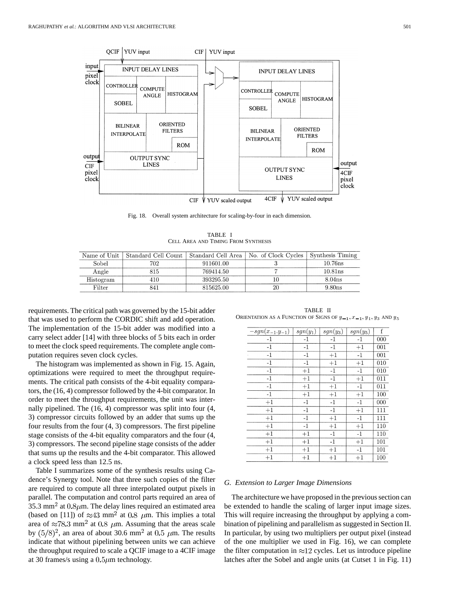

Fig. 18. Overall system architecture for scaling-by-four in each dimension.

|           | Name of Unit   Standard Cell Count | Standard Cell Area | No. of Clock Cycles | <b>Synthesis Timing</b> |
|-----------|------------------------------------|--------------------|---------------------|-------------------------|
| Sobel     | 702                                | 911601.00          |                     | $10.76$ ns              |
| Angle     | 815                                | 769414.50          |                     | $10.81$ ns              |
| Histogram | 410                                | 393295.50          | 10                  | 8.04 <sub>ns</sub>      |
| Filter    | 841                                | 815625.00          | 20                  | 9.80 <sub>ns</sub>      |

TABLE I CELL AREA AND TIMING FROM SYNTHESIS

requirements. The critical path was governed by the 15-bit adder that was used to perform the CORDIC shift and add operation. The implementation of the 15-bit adder was modified into a carry select adder [14] with three blocks of 5 bits each in order to meet the clock speed requirements. The complete angle computation requires seven clock cycles.

The histogram was implemented as shown in Fig. 15. Again, optimizations were required to meet the throughput requirements. The critical path consists of the 4-bit equality comparators, the (16, 4) compressor followed by the 4-bit comparator. In order to meet the throughput requirements, the unit was internally pipelined. The (16, 4) compressor was split into four (4, 3) compressor circuits followed by an adder that sums up the four results from the four (4, 3) compressors. The first pipeline stage consists of the 4-bit equality comparators and the four (4, 3) compressors. The second pipeline stage consists of the adder that sums up the results and the 4-bit comparator. This allowed a clock speed less than 12.5 ns.

Table I summarizes some of the synthesis results using Cadence's Synergy tool. Note that three such copies of the filter are required to compute all three interpolated output pixels in parallel. The computation and control parts required an area of 35.3 mm<sup>2</sup> at  $0.8 \mu$ m. The delay lines required an estimated area (based on [11]) of  $\approx 43$  mm<sup>2</sup> at 0.8  $\mu$ m. This implies a total area of  $\approx 78.3$  mm<sup>2</sup> at 0.8  $\mu$ m. Assuming that the areas scale by  $(5/8)^2$ , an area of about 30.6 mm<sup>2</sup> at 0.5  $\mu$ m. The results indicate that without pipelining between units we can achieve the throughput required to scale a QCIF image to a 4CIF image at 30 frames/s using a  $0.5\mu$ m technology.

TABLE II ORIENTATION AS A FUNCTION OF SIGNS OF  $y_{-1}$ ,  $x_{-1}$ ,  $y_1$ ,  $y_3$  and  $y_5$ 

| $-sgn(x_{-1}.y_{-1})$ | $sgn(y_1)$ | $sgn(y_3)$ | $sgn(y_5)$  | f   |
|-----------------------|------------|------------|-------------|-----|
| $-1$                  | $-1$       | $-1$       | $-1$        | 000 |
| $-1$                  | $-1$       | $-1$       | $+1$        | 001 |
| $-1$                  | $-1$       | $+1$       | $^{\rm -1}$ | 001 |
| $-1$                  | $-1$       | $+1$       | $+1$        | 010 |
| $-1$                  | $+1$       | $-1$       | $-1$        | 010 |
| $-1$                  | $+1$       | $-1$       | $+1$        | 011 |
| $-1$                  | $+1$       | $+1$       | $-1$        | 011 |
| $-1$                  | $+1$       | $+1$       | $+1$        | 100 |
| $+1$                  | $-1$       | $-1$       | $-1$        | 000 |
| $+1$                  | $-1$       | $-1$       | $+1$        | 111 |
| $+1$                  | $-1$       | $+1$       | $-1$        | 111 |
| $+1$                  | $-1$       | $+1$       | $+1$        | 110 |
| $+1$                  | $+1$       | $-1$       | $^{\rm -1}$ | 110 |
| $+1$                  | $+1$       | $-1$       | $+1$        | 101 |
| $+1$                  | $+1$       | $+1$       | $-1$        | 101 |
| $+1$                  | $+1$       | $+1$       | $+1$        | 100 |

## *G. Extension to Larger Image Dimensions*

The architecture we have proposed in the previous section can be extended to handle the scaling of larger input image sizes. This will require increasing the throughput by applying a combination of pipelining and parallelism as suggested in Section II. In particular, by using two multipliers per output pixel (instead of the one multiplier we used in Fig. 16), we can complete the filter computation in  $\approx$ 12 cycles. Let us introduce pipeline latches after the Sobel and angle units (at Cutset 1 in Fig. 11)